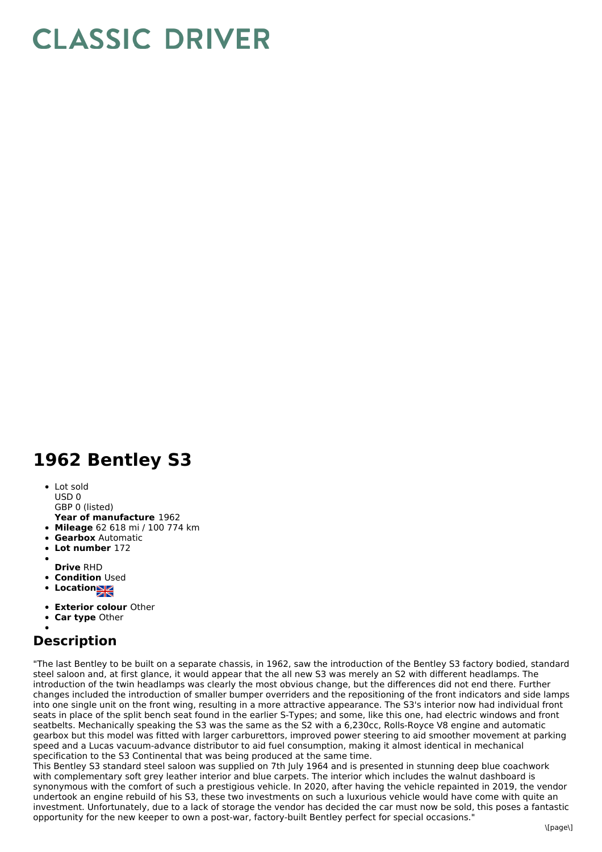## **CLASSIC DRIVER**

## **1962 Bentley S3**

• Lot sold USD 0

GBP 0 (listed)

- **Year of manufacture** 1962
- **Mileage** 62 618 mi / 100 774 km
- **Gearbox** Automatic
- **Lot number** 172
- 
- **Drive** RHD
- **Condition Used**
- **Locations**
- **Exterior colour** Other
- **Car type** Other

## **Description**

"The last Bentley to be built on a separate chassis, in 1962, saw the introduction of the Bentley S3 factory bodied, standard steel saloon and, at first glance, it would appear that the all new S3 was merely an S2 with different headlamps. The introduction of the twin headlamps was clearly the most obvious change, but the differences did not end there. Further changes included the introduction of smaller bumper overriders and the repositioning of the front indicators and side lamps into one single unit on the front wing, resulting in a more attractive appearance. The S3's interior now had individual front seats in place of the split bench seat found in the earlier S-Types; and some, like this one, had electric windows and front seatbelts. Mechanically speaking the S3 was the same as the S2 with a 6,230cc, Rolls-Royce V8 engine and automatic gearbox but this model was fitted with larger carburettors, improved power steering to aid smoother movement at parking speed and a Lucas vacuum-advance distributor to aid fuel consumption, making it almost identical in mechanical specification to the S3 Continental that was being produced at the same time.

This Bentley S3 standard steel saloon was supplied on 7th July 1964 and is presented in stunning deep blue coachwork with complementary soft grey leather interior and blue carpets. The interior which includes the walnut dashboard is synonymous with the comfort of such a prestigious vehicle. In 2020, after having the vehicle repainted in 2019, the vendor undertook an engine rebuild of his S3, these two investments on such a luxurious vehicle would have come with quite an investment. Unfortunately, due to a lack of storage the vendor has decided the car must now be sold, this poses a fantastic opportunity for the new keeper to own a post-war, factory-built Bentley perfect for special occasions."